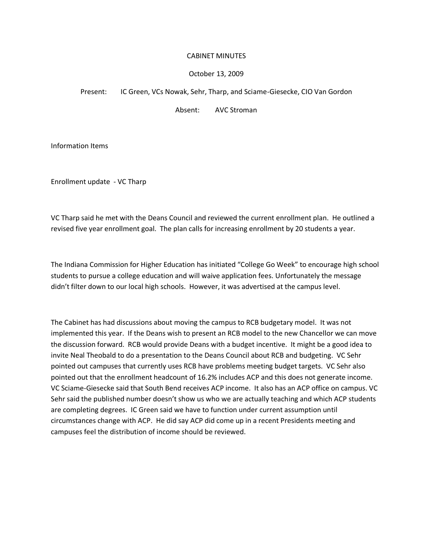## CABINET MINUTES

### October 13, 2009

#### Present: IC Green, VCs Nowak, Sehr, Tharp, and Sciame-Giesecke, CIO Van Gordon

Absent: AVC Stroman

Information Items

Enrollment update - VC Tharp

VC Tharp said he met with the Deans Council and reviewed the current enrollment plan. He outlined a revised five year enrollment goal. The plan calls for increasing enrollment by 20 students a year.

The Indiana Commission for Higher Education has initiated "College Go Week" to encourage high school students to pursue a college education and will waive application fees. Unfortunately the message didn't filter down to our local high schools. However, it was advertised at the campus level.

The Cabinet has had discussions about moving the campus to RCB budgetary model. It was not implemented this year. If the Deans wish to present an RCB model to the new Chancellor we can move the discussion forward. RCB would provide Deans with a budget incentive. It might be a good idea to invite Neal Theobald to do a presentation to the Deans Council about RCB and budgeting. VC Sehr pointed out campuses that currently uses RCB have problems meeting budget targets. VC Sehr also pointed out that the enrollment headcount of 16.2% includes ACP and this does not generate income. VC Sciame-Giesecke said that South Bend receives ACP income. It also has an ACP office on campus. VC Sehr said the published number doesn't show us who we are actually teaching and which ACP students are completing degrees. IC Green said we have to function under current assumption until circumstances change with ACP. He did say ACP did come up in a recent Presidents meeting and campuses feel the distribution of income should be reviewed.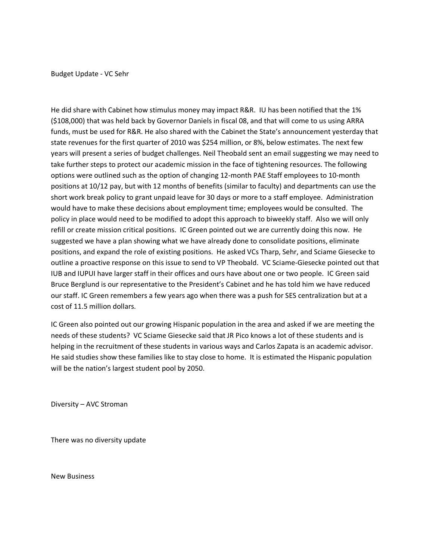Budget Update - VC Sehr

He did share with Cabinet how stimulus money may impact R&R. IU has been notified that the 1% (\$108,000) that was held back by Governor Daniels in fiscal 08, and that will come to us using ARRA funds, must be used for R&R. He also shared with the Cabinet the State's announcement yesterday that state revenues for the first quarter of 2010 was \$254 million, or 8%, below estimates. The next few years will present a series of budget challenges. Neil Theobald sent an email suggesting we may need to take further steps to protect our academic mission in the face of tightening resources. The following options were outlined such as the option of changing 12-month PAE Staff employees to 10-month positions at 10/12 pay, but with 12 months of benefits (similar to faculty) and departments can use the short work break policy to grant unpaid leave for 30 days or more to a staff employee. Administration would have to make these decisions about employment time; employees would be consulted. The policy in place would need to be modified to adopt this approach to biweekly staff. Also we will only refill or create mission critical positions. IC Green pointed out we are currently doing this now. He suggested we have a plan showing what we have already done to consolidate positions, eliminate positions, and expand the role of existing positions. He asked VCs Tharp, Sehr, and Sciame Giesecke to outline a proactive response on this issue to send to VP Theobald. VC Sciame-Giesecke pointed out that IUB and IUPUI have larger staff in their offices and ours have about one or two people. IC Green said Bruce Berglund is our representative to the President's Cabinet and he has told him we have reduced our staff. IC Green remembers a few years ago when there was a push for SES centralization but at a cost of 11.5 million dollars.

IC Green also pointed out our growing Hispanic population in the area and asked if we are meeting the needs of these students? VC Sciame Giesecke said that JR Pico knows a lot of these students and is helping in the recruitment of these students in various ways and Carlos Zapata is an academic advisor. He said studies show these families like to stay close to home. It is estimated the Hispanic population will be the nation's largest student pool by 2050.

Diversity – AVC Stroman

There was no diversity update

New Business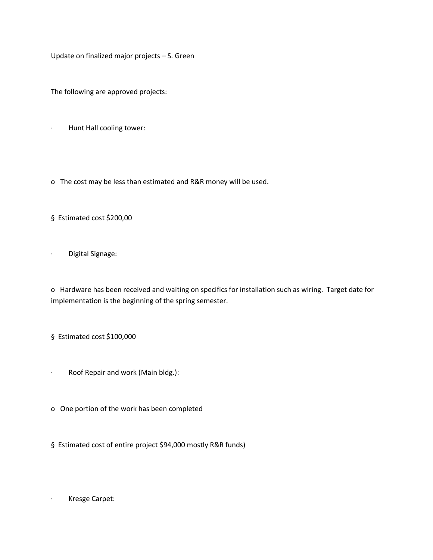Update on finalized major projects – S. Green

The following are approved projects:

- · Hunt Hall cooling tower:
- o The cost may be less than estimated and R&R money will be used.
- § Estimated cost \$200,00

· Digital Signage:

o Hardware has been received and waiting on specifics for installation such as wiring. Target date for implementation is the beginning of the spring semester.

- § Estimated cost \$100,000
- · Roof Repair and work (Main bldg.):
- o One portion of the work has been completed
- § Estimated cost of entire project \$94,000 mostly R&R funds)

· Kresge Carpet: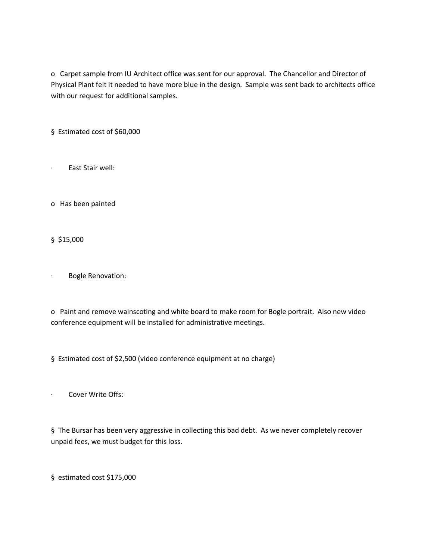o Carpet sample from IU Architect office was sent for our approval. The Chancellor and Director of Physical Plant felt it needed to have more blue in the design. Sample was sent back to architects office with our request for additional samples.

§ Estimated cost of \$60,000

· East Stair well:

o Has been painted

§ \$15,000

· Bogle Renovation:

o Paint and remove wainscoting and white board to make room for Bogle portrait. Also new video conference equipment will be installed for administrative meetings.

§ Estimated cost of \$2,500 (video conference equipment at no charge)

· Cover Write Offs:

§ The Bursar has been very aggressive in collecting this bad debt. As we never completely recover unpaid fees, we must budget for this loss.

§ estimated cost \$175,000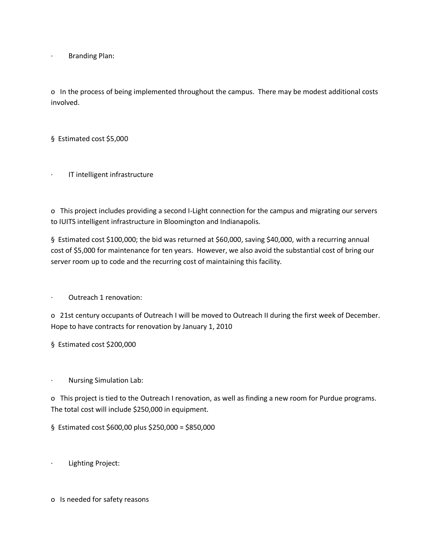· Branding Plan:

o In the process of being implemented throughout the campus. There may be modest additional costs involved.

§ Estimated cost \$5,000

IT intelligent infrastructure

o This project includes providing a second I-Light connection for the campus and migrating our servers to IUITS intelligent infrastructure in Bloomington and Indianapolis.

§ Estimated cost \$100,000; the bid was returned at \$60,000, saving \$40,000, with a recurring annual cost of \$5,000 for maintenance for ten years. However, we also avoid the substantial cost of bring our server room up to code and the recurring cost of maintaining this facility.

Outreach 1 renovation:

o 21st century occupants of Outreach I will be moved to Outreach II during the first week of December. Hope to have contracts for renovation by January 1, 2010

§ Estimated cost \$200,000

· Nursing Simulation Lab:

o This project is tied to the Outreach I renovation, as well as finding a new room for Purdue programs. The total cost will include \$250,000 in equipment.

§ Estimated cost \$600,00 plus \$250,000 = \$850,000

Lighting Project:

o Is needed for safety reasons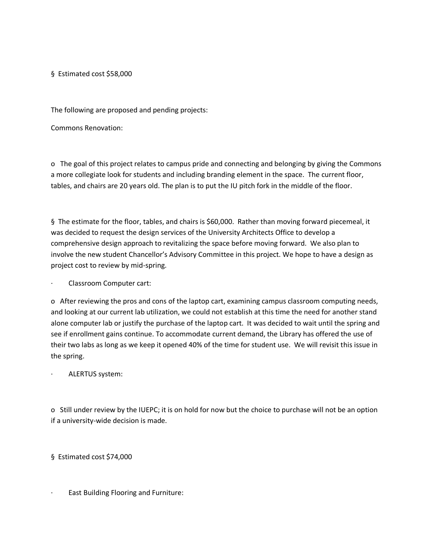§ Estimated cost \$58,000

The following are proposed and pending projects:

Commons Renovation:

o The goal of this project relates to campus pride and connecting and belonging by giving the Commons a more collegiate look for students and including branding element in the space. The current floor, tables, and chairs are 20 years old. The plan is to put the IU pitch fork in the middle of the floor.

§ The estimate for the floor, tables, and chairs is \$60,000. Rather than moving forward piecemeal, it was decided to request the design services of the University Architects Office to develop a comprehensive design approach to revitalizing the space before moving forward. We also plan to involve the new student Chancellor's Advisory Committee in this project. We hope to have a design as project cost to review by mid-spring.

· Classroom Computer cart:

o After reviewing the pros and cons of the laptop cart, examining campus classroom computing needs, and looking at our current lab utilization, we could not establish at this time the need for another stand alone computer lab or justify the purchase of the laptop cart. It was decided to wait until the spring and see if enrollment gains continue. To accommodate current demand, the Library has offered the use of their two labs as long as we keep it opened 40% of the time for student use. We will revisit this issue in the spring.

ALERTUS system:

o Still under review by the IUEPC; it is on hold for now but the choice to purchase will not be an option if a university-wide decision is made.

§ Estimated cost \$74,000

· East Building Flooring and Furniture: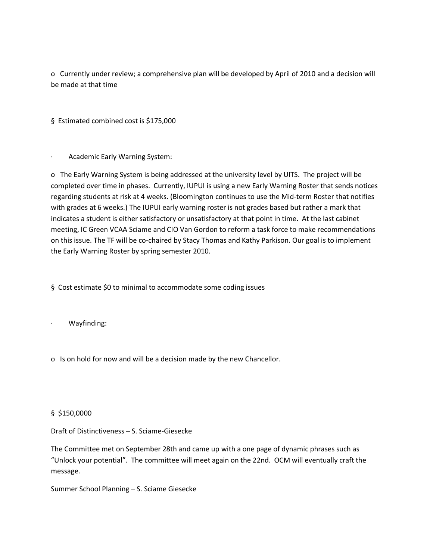o Currently under review; a comprehensive plan will be developed by April of 2010 and a decision will be made at that time

§ Estimated combined cost is \$175,000

Academic Early Warning System:

o The Early Warning System is being addressed at the university level by UITS. The project will be completed over time in phases. Currently, IUPUI is using a new Early Warning Roster that sends notices regarding students at risk at 4 weeks. (Bloomington continues to use the Mid-term Roster that notifies with grades at 6 weeks.) The IUPUI early warning roster is not grades based but rather a mark that indicates a student is either satisfactory or unsatisfactory at that point in time. At the last cabinet meeting, IC Green VCAA Sciame and CIO Van Gordon to reform a task force to make recommendations on this issue. The TF will be co-chaired by Stacy Thomas and Kathy Parkison. Our goal is to implement the Early Warning Roster by spring semester 2010.

§ Cost estimate \$0 to minimal to accommodate some coding issues

- · Wayfinding:
- o Is on hold for now and will be a decision made by the new Chancellor.

# § \$150,0000

Draft of Distinctiveness – S. Sciame-Giesecke

The Committee met on September 28th and came up with a one page of dynamic phrases such as "Unlock your potential". The committee will meet again on the 22nd. OCM will eventually craft the message.

Summer School Planning – S. Sciame Giesecke